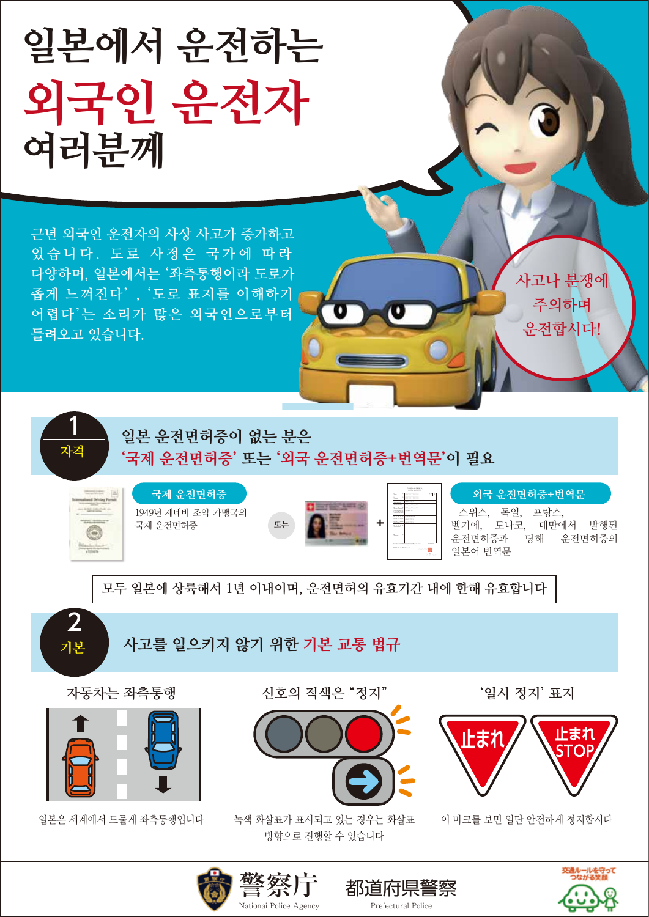

! 있는 경우는 화살표 이 마크를 보면 일단 안전하게 정지합시<br>! 소 있소님님









都道府県警察 こころの意識 Prefectural Police